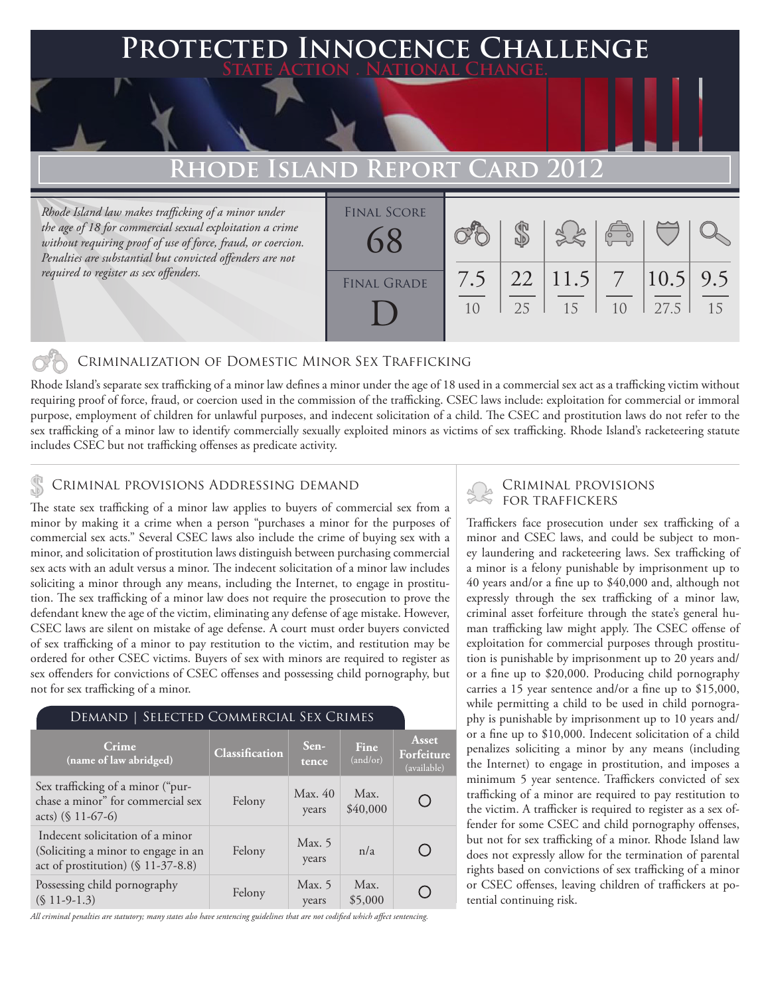# **FED INNOCENCE CHALLENGE State Action . National Change. RHODE ISLAND REPORT CARD**

*Rhode Island law makes trafficking of a minor under the age of 18 for commercial sexual exploitation a crime without requiring proof of use of force, fraud, or coercion. Penalties are substantial but convicted offenders are not required to register as sex offenders.*

| <b>FINAL SCORE</b> |           |    |                             | $\sqrt{2}$ |                      |    |
|--------------------|-----------|----|-----------------------------|------------|----------------------|----|
| <b>FINAL GRADE</b> | 7.5<br>10 | 25 | $22 \mid 11.5 \mid 7$<br>15 | 10         | $ 10.5 $ 9.5<br>27.5 | 15 |

### Criminalization of Domestic Minor Sex Trafficking

Rhode Island's separate sex trafficking of a minor law defines a minor under the age of 18 used in a commercial sex act as a trafficking victim without requiring proof of force, fraud, or coercion used in the commission of the trafficking. CSEC laws include: exploitation for commercial or immoral purpose, employment of children for unlawful purposes, and indecent solicitation of a child. The CSEC and prostitution laws do not refer to the sex trafficking of a minor law to identify commercially sexually exploited minors as victims of sex trafficking. Rhode Island's racketeering statute includes CSEC but not trafficking offenses as predicate activity.

## CRIMINAL PROVISIONS ADDRESSING DEMAND<br>FOR TRAFFICKERS

The state sex trafficking of a minor law applies to buyers of commercial sex from a minor by making it a crime when a person "purchases a minor for the purposes of commercial sex acts." Several CSEC laws also include the crime of buying sex with a minor, and solicitation of prostitution laws distinguish between purchasing commercial sex acts with an adult versus a minor. The indecent solicitation of a minor law includes soliciting a minor through any means, including the Internet, to engage in prostitution. The sex trafficking of a minor law does not require the prosecution to prove the defendant knew the age of the victim, eliminating any defense of age mistake. However, CSEC laws are silent on mistake of age defense. A court must order buyers convicted of sex trafficking of a minor to pay restitution to the victim, and restitution may be ordered for other CSEC victims. Buyers of sex with minors are required to register as sex offenders for convictions of CSEC offenses and possessing child pornography, but not for sex trafficking of a minor.

### Demand | Selected Commercial Sex Crimes

| Crime<br>(name of law abridged)                                                                               | Classification | $Sen-$<br>tence   | Fine<br>(and/or) | Asset<br>Forfeiture<br>(available) |
|---------------------------------------------------------------------------------------------------------------|----------------|-------------------|------------------|------------------------------------|
| Sex trafficking of a minor ("pur-<br>chase a minor" for commercial sex<br>acts) $(\$ 11-67-6)$                | Felony         | Max. 40<br>years  | Max.<br>\$40,000 |                                    |
| Indecent solicitation of a minor<br>(Soliciting a minor to engage in an<br>act of prostitution) (§ 11-37-8.8) | Felony         | Max. 5<br>years   | n/a              |                                    |
| Possessing child pornography<br>$(S 11-9-1.3)$                                                                | Felony         | Max. $5$<br>years | Max.<br>\$5,000  |                                    |

*All criminal penalties are statutory; many states also have sentencing guidelines that are not codified which affect sentencing.* 

# Criminal provisions

Traffickers face prosecution under sex trafficking of a minor and CSEC laws, and could be subject to money laundering and racketeering laws. Sex trafficking of a minor is a felony punishable by imprisonment up to 40 years and/or a fine up to \$40,000 and, although not expressly through the sex trafficking of a minor law, criminal asset forfeiture through the state's general human trafficking law might apply. The CSEC offense of exploitation for commercial purposes through prostitution is punishable by imprisonment up to 20 years and/ or a fine up to \$20,000. Producing child pornography carries a 15 year sentence and/or a fine up to \$15,000, while permitting a child to be used in child pornography is punishable by imprisonment up to 10 years and/ or a fine up to \$10,000. Indecent solicitation of a child penalizes soliciting a minor by any means (including the Internet) to engage in prostitution, and imposes a minimum 5 year sentence. Traffickers convicted of sex trafficking of a minor are required to pay restitution to the victim. A trafficker is required to register as a sex offender for some CSEC and child pornography offenses, but not for sex trafficking of a minor. Rhode Island law does not expressly allow for the termination of parental rights based on convictions of sex trafficking of a minor or CSEC offenses, leaving children of traffickers at potential continuing risk.